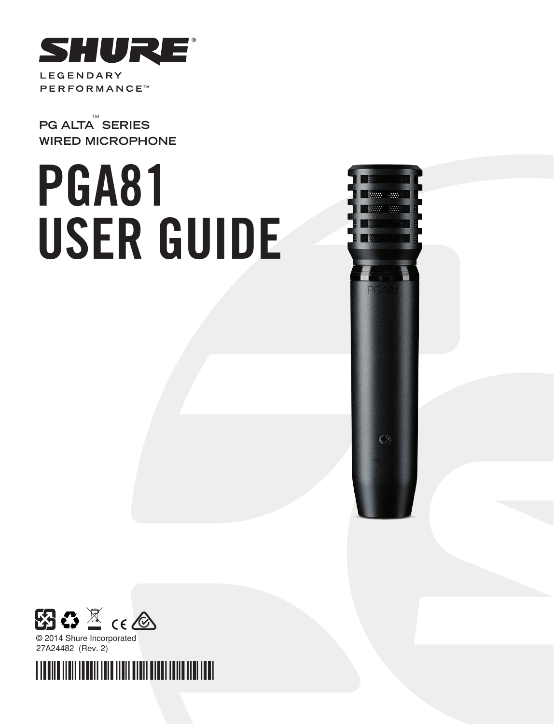

TM **PG ALTA SERIES WIRED MICROPHONE**

# PGA81 USER GUIDE





© 2014 Shure Incorporated 27A24482 (Rev. 2)

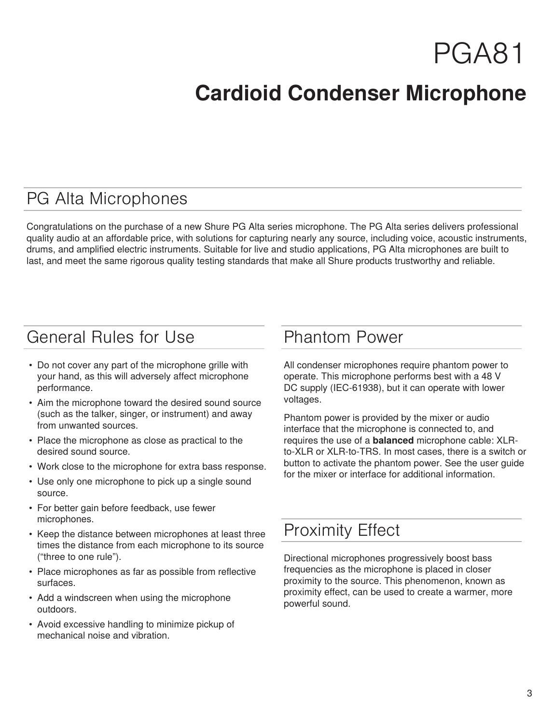## PGA81

### **Cardioid Condenser Microphone**

### PG Alta Microphones

Congratulations on the purchase of a new Shure PG Alta series microphone. The PG Alta series delivers professional quality audio at an affordable price, with solutions for capturing nearly any source, including voice, acoustic instruments, drums, and amplified electric instruments. Suitable for live and studio applications, PG Alta microphones are built to last, and meet the same rigorous quality testing standards that make all Shure products trustworthy and reliable.

### General Rules for Use

- Do not cover any part of the microphone grille with your hand, as this will adversely affect microphone performance.
- Aim the microphone toward the desired sound source (such as the talker, singer, or instrument) and away from unwanted sources.
- Place the microphone as close as practical to the desired sound source.
- Work close to the microphone for extra bass response.
- Use only one microphone to pick up a single sound source.
- For better gain before feedback, use fewer microphones.
- Keep the distance between microphones at least three times the distance from each microphone to its source ("three to one rule").
- Place microphones as far as possible from reflective surfaces.
- Add a windscreen when using the microphone outdoors.
- Avoid excessive handling to minimize pickup of mechanical noise and vibration.

### Phantom Power

All condenser microphones require phantom power to operate. This microphone performs best with a 48 V DC supply (IEC-61938), but it can operate with lower voltages.

Phantom power is provided by the mixer or audio interface that the microphone is connected to, and requires the use of a **balanced** microphone cable: XLRto-XLR or XLR-to-TRS. In most cases, there is a switch or button to activate the phantom power. See the user guide for the mixer or interface for additional information.

### Proximity Effect

Directional microphones progressively boost bass frequencies as the microphone is placed in closer proximity to the source. This phenomenon, known as proximity effect, can be used to create a warmer, more powerful sound.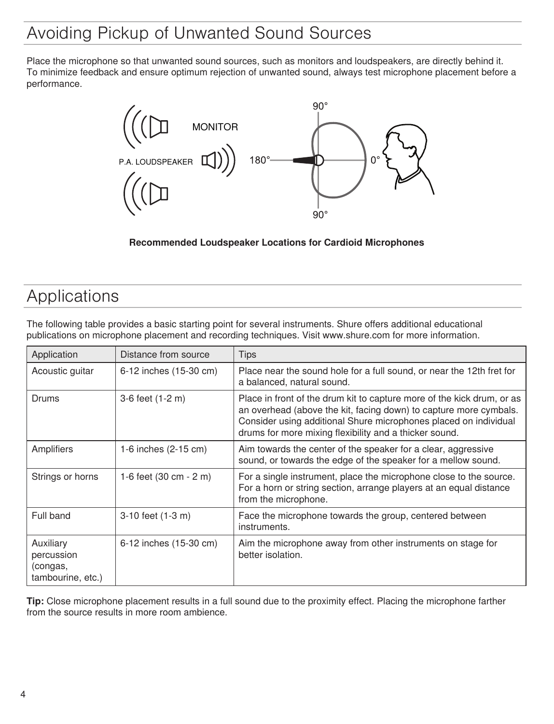### Avoiding Pickup of Unwanted Sound Sources

Place the microphone so that unwanted sound sources, such as monitors and loudspeakers, are directly behind it. To minimize feedback and ensure optimum rejection of unwanted sound, always test microphone placement before a performance.



### **Recommended Loudspeaker Locations for Cardioid Microphones**

### Applications

The following table provides a basic starting point for several instruments. Shure offers additional educational publications on microphone placement and recording techniques. Visit www.shure.com for more information.

| Application                                              | Distance from source   | <b>Tips</b>                                                                                                                                                                                                                                                               |
|----------------------------------------------------------|------------------------|---------------------------------------------------------------------------------------------------------------------------------------------------------------------------------------------------------------------------------------------------------------------------|
| Acoustic guitar                                          | 6-12 inches (15-30 cm) | Place near the sound hole for a full sound, or near the 12th fret for<br>a balanced, natural sound.                                                                                                                                                                       |
| Drums                                                    | 3-6 feet (1-2 m)       | Place in front of the drum kit to capture more of the kick drum, or as<br>an overhead (above the kit, facing down) to capture more cymbals.<br>Consider using additional Shure microphones placed on individual<br>drums for more mixing flexibility and a thicker sound. |
| Amplifiers                                               | 1-6 inches (2-15 cm)   | Aim towards the center of the speaker for a clear, aggressive<br>sound, or towards the edge of the speaker for a mellow sound.                                                                                                                                            |
| Strings or horns                                         | 1-6 feet (30 cm - 2 m) | For a single instrument, place the microphone close to the source.<br>For a horn or string section, arrange players at an equal distance<br>from the microphone.                                                                                                          |
| Full band                                                | 3-10 feet (1-3 m)      | Face the microphone towards the group, centered between<br>instruments.                                                                                                                                                                                                   |
| Auxiliary<br>percussion<br>(congas,<br>tambourine, etc.) | 6-12 inches (15-30 cm) | Aim the microphone away from other instruments on stage for<br>better isolation.                                                                                                                                                                                          |

**Tip:** Close microphone placement results in a full sound due to the proximity effect. Placing the microphone farther from the source results in more room ambience.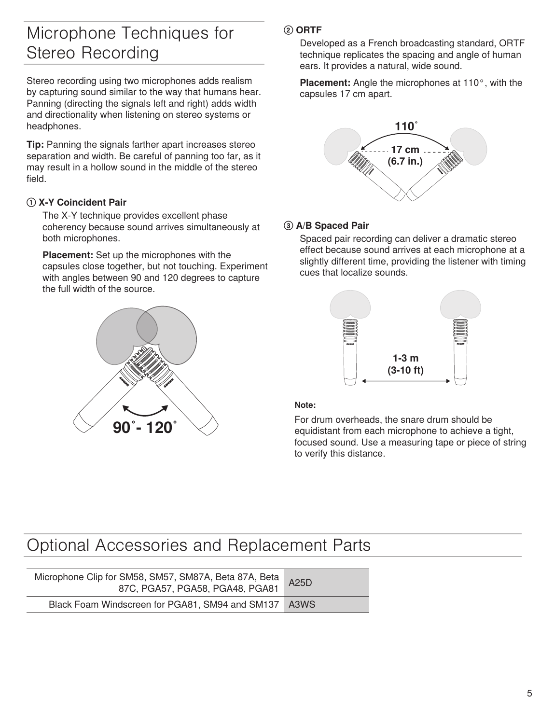### Microphone Techniques for Stereo Recording

Stereo recording using two microphones adds realism by capturing sound similar to the way that humans hear. Panning (directing the signals left and right) adds width and directionality when listening on stereo systems or headphones.

**Tip:** Panning the signals farther apart increases stereo separation and width. Be careful of panning too far, as it may result in a hollow sound in the middle of the stereo field.

### **① X-Y Coincident Pair**

The X-Y technique provides excellent phase coherency because sound arrives simultaneously at both microphones.

**Placement:** Set up the microphones with the capsules close together, but not touching. Experiment with angles between 90 and 120 degrees to capture the full width of the source.



### **② ORTF**

Developed as a French broadcasting standard, ORTF technique replicates the spacing and angle of human ears. It provides a natural, wide sound.

**Placement:** Angle the microphones at 110°, with the capsules 17 cm apart.



### **③ A/B Spaced Pair**

Spaced pair recording can deliver a dramatic stereo effect because sound arrives at each microphone at a slightly different time, providing the listener with timing cues that localize sounds.



#### **Note:**

For drum overheads, the snare drum should be equidistant from each microphone to achieve a tight, focused sound. Use a measuring tape or piece of string to verify this distance.

### Optional Accessories and Replacement Parts

| Microphone Clip for SM58, SM57, SM87A, Beta 87A, Beta  <br>87C, PGA57, PGA58, PGA48, PGA81 | A25D |
|--------------------------------------------------------------------------------------------|------|
| Black Foam Windscreen for PGA81, SM94 and SM137 A3WS                                       |      |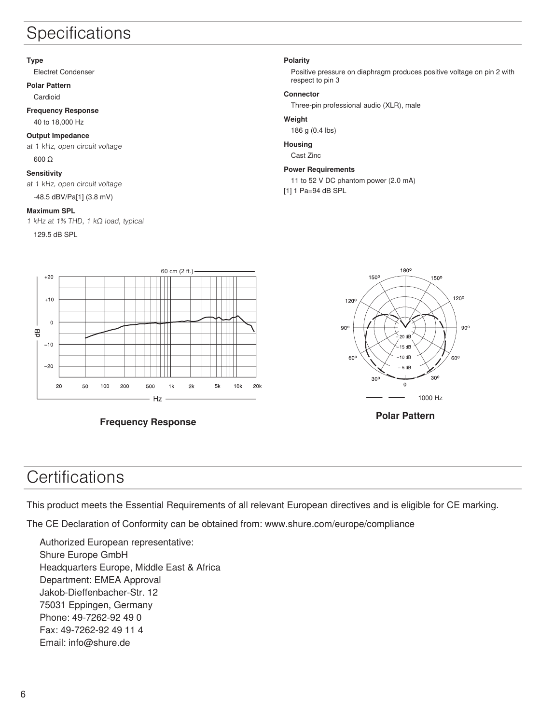### **Specifications**

#### **Type**

Electret Condenser

**Polar Pattern**

Cardioid

#### **Frequency Response** 40 to 18,000 Hz

### **Output Impedance**

at 1 kHz, open circuit voltage 600 Ω

### **Sensitivity**

at 1 kHz, open circuit voltage

-48.5 dBV/Pa[1] (3.8 mV)

#### **Maximum SPL**

1 kHz at 1% THD, 1 kΩ load, typical

129.5 dB SPL

#### **Polarity**

Positive pressure on diaphragm produces positive voltage on pin 2 with respect to pin 3

#### **Connector**

Three-pin professional audio (XLR), male

#### **Weight**

186 g (0.4 lbs)

#### **Housing**

Cast Zinc

#### **Power Requirements**

11 to 52 V DC phantom power (2.0 mA)

[1] 1 Pa=94 dB SPL



**Frequency Response**



**Polar Pattern**

### **Certifications**

This product meets the Essential Requirements of all relevant European directives and is eligible for CE marking.

The CE Declaration of Conformity can be obtained from: www.shure.com/europe/compliance

Authorized European representative: Shure Europe GmbH Headquarters Europe, Middle East & Africa Department: EMEA Approval Jakob-Dieffenbacher-Str. 12 75031 Eppingen, Germany Phone: 49-7262-92 49 0 Fax: 49-7262-92 49 11 4 Email: info@shure.de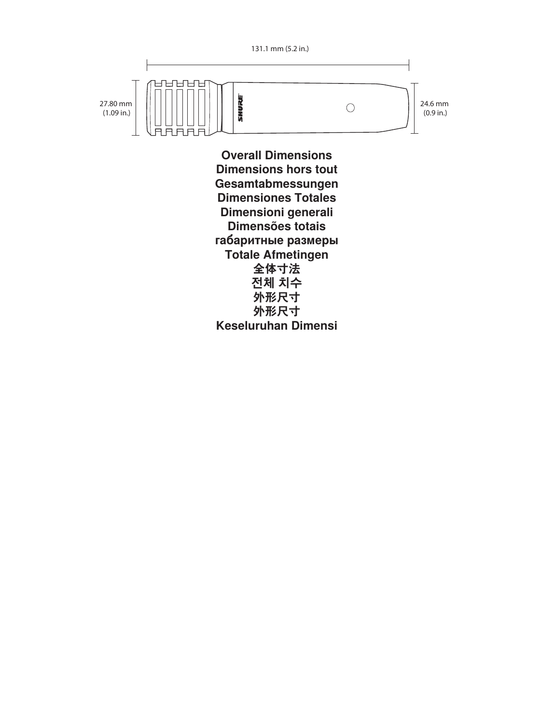

(0.9 in.)

**Overall Dimensions Dimensions hors tout Gesamtabmessungen Dimensiones Totales Dimensioni generali Dimensões totais габаритные размеры Totale Afmetingen 全体寸法 전체 치수 外形尺寸 外形尺寸 Keseluruhan Dimensi**